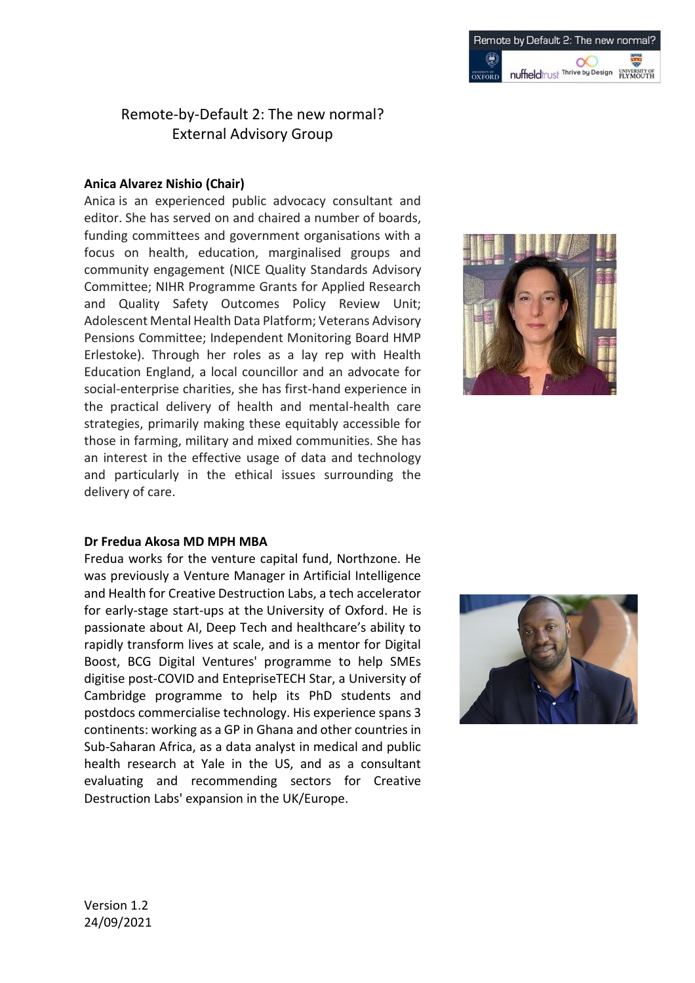# Remote-by-Default 2: The new normal? External Advisory Group

### **Anica Alvarez Nishio (Chair)**

Anica is an experienced public advocacy consultant and editor. She has served on and chaired a number of boards, funding committees and government organisations with a focus on health, education, marginalised groups and community engagement (NICE Quality Standards Advisory Committee; NIHR Programme Grants for Applied Research and Quality Safety Outcomes Policy Review Unit; Adolescent Mental Health Data Platform; Veterans Advisory Pensions Committee; Independent Monitoring Board HMP Erlestoke). Through her roles as a lay rep with Health Education England, a local councillor and an advocate for social-enterprise charities, she has first-hand experience in the practical delivery of health and mental-health care strategies, primarily making these equitably accessible for those in farming, military and mixed communities. She has an interest in the effective usage of data and technology and particularly in the ethical issues surrounding the delivery of care.



### **Dr Fredua Akosa MD MPH MBA**

Fredua works for the venture capital fund, Northzone. He was previously a Venture Manager in Artificial Intelligence and Health for Creative Destruction Labs, a tech accelerator for early-stage start-ups at the University of Oxford. He is passionate about AI, Deep Tech and healthcare's ability to rapidly transform lives at scale, and is a mentor for Digital Boost, BCG Digital Ventures' programme to help SMEs digitise post-COVID and EntepriseTECH Star, a University of Cambridge programme to help its PhD students and postdocs commercialise technology. His experience spans 3 continents: working as a GP in Ghana and other countries in Sub-Saharan Africa, as a data analyst in medical and public health research at Yale in the US, and as a consultant evaluating and recommending sectors for Creative Destruction Labs' expansion in the UK/Europe.

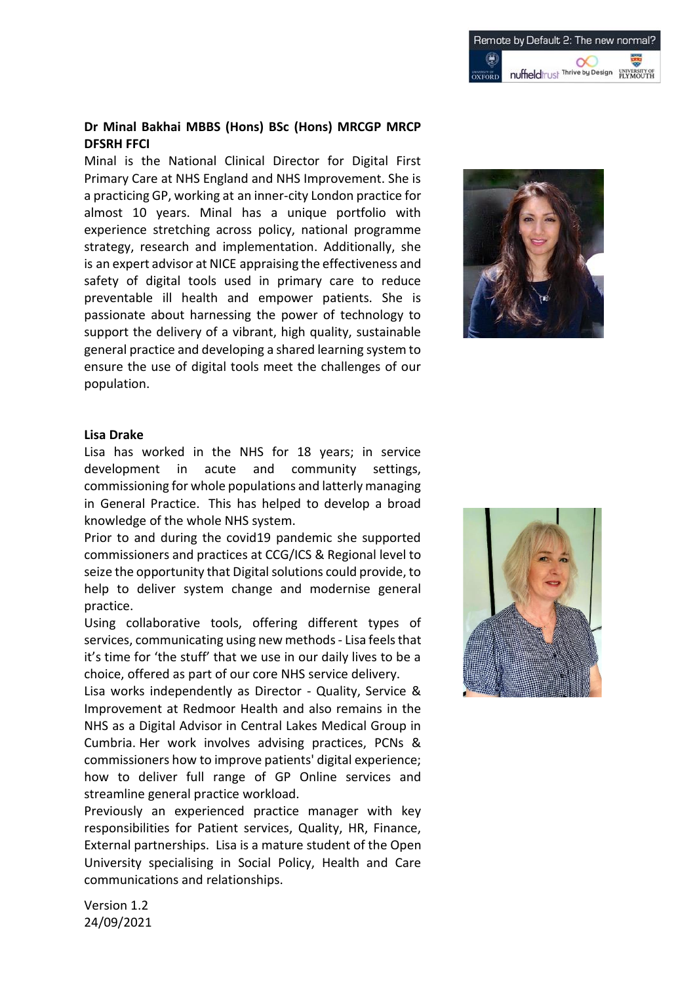### **Dr Minal Bakhai MBBS (Hons) BSc (Hons) MRCGP MRCP DFSRH FFCI**

Minal is the National Clinical Director for Digital First Primary Care at NHS England and NHS Improvement. She is a practicing GP, working at an inner-city London practice for almost 10 years. Minal has a unique portfolio with experience stretching across policy, national programme strategy, research and implementation. Additionally, she is an expert advisor at NICE appraising the effectiveness and safety of digital tools used in primary care to reduce preventable ill health and empower patients. She is passionate about harnessing the power of technology to support the delivery of a vibrant, high quality, sustainable general practice and developing a shared learning system to ensure the use of digital tools meet the challenges of our population.



### **Lisa Drake**

Lisa has worked in the NHS for 18 years; in service development in acute and community settings, commissioning for whole populations and latterly managing in General Practice. This has helped to develop a broad knowledge of the whole NHS system.

Prior to and during the covid19 pandemic she supported commissioners and practices at CCG/ICS & Regional level to seize the opportunity that Digital solutions could provide, to help to deliver system change and modernise general practice.

Using collaborative tools, offering different types of services, communicating using new methods - Lisa feels that it's time for 'the stuff' that we use in our daily lives to be a choice, offered as part of our core NHS service delivery.

Lisa works independently as Director - Quality, Service & Improvement at Redmoor Health and also remains in the NHS as a Digital Advisor in Central Lakes Medical Group in Cumbria. Her work involves advising practices, PCNs & commissioners how to improve patients' digital experience; how to deliver full range of GP Online services and streamline general practice workload.

Previously an experienced practice manager with key responsibilities for Patient services, Quality, HR, Finance, External partnerships. Lisa is a mature student of the Open University specialising in Social Policy, Health and Care communications and relationships.



Version 1.2 24/09/2021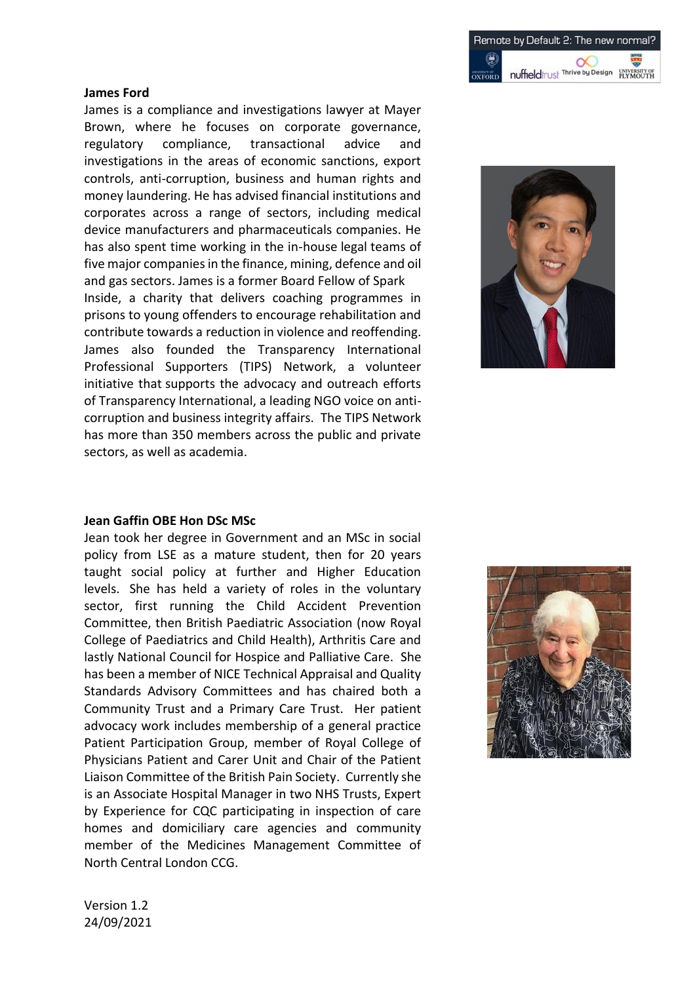#### **James Ford**

James is a compliance and investigations lawyer at Mayer Brown, where he focuses on corporate governance, regulatory compliance, transactional advice and investigations in the areas of economic sanctions, export controls, anti-corruption, business and human rights and money laundering. He has advised financial institutions and corporates across a range of sectors, including medical device manufacturers and pharmaceuticals companies. He has also spent time working in the in-house legal teams of five major companies in the finance, mining, defence and oil and gas sectors. James is a former Board Fellow of Spark

Inside, a charity that delivers coaching programmes in prisons to young offenders to encourage rehabilitation and contribute towards a reduction in violence and reoffending. James also founded the Transparency International Professional Supporters (TIPS) Network, a volunteer initiative that supports the advocacy and outreach efforts of Transparency International, a leading NGO voice on anticorruption and business integrity affairs. The TIPS Network has more than 350 members across the public and private sectors, as well as academia.



### **Jean Gaffin OBE Hon DSc MSc**

Jean took her degree in Government and an MSc in social policy from LSE as a mature student, then for 20 years taught social policy at further and Higher Education levels. She has held a variety of roles in the voluntary sector, first running the Child Accident Prevention Committee, then British Paediatric Association (now Royal College of Paediatrics and Child Health), Arthritis Care and lastly National Council for Hospice and Palliative Care. She has been a member of NICE Technical Appraisal and Quality Standards Advisory Committees and has chaired both a Community Trust and a Primary Care Trust. Her patient advocacy work includes membership of a general practice Patient Participation Group, member of Royal College of Physicians Patient and Carer Unit and Chair of the Patient Liaison Committee of the British Pain Society. Currently she is an Associate Hospital Manager in two NHS Trusts, Expert by Experience for CQC participating in inspection of care homes and domiciliary care agencies and community member of the Medicines Management Committee of North Central London CCG.

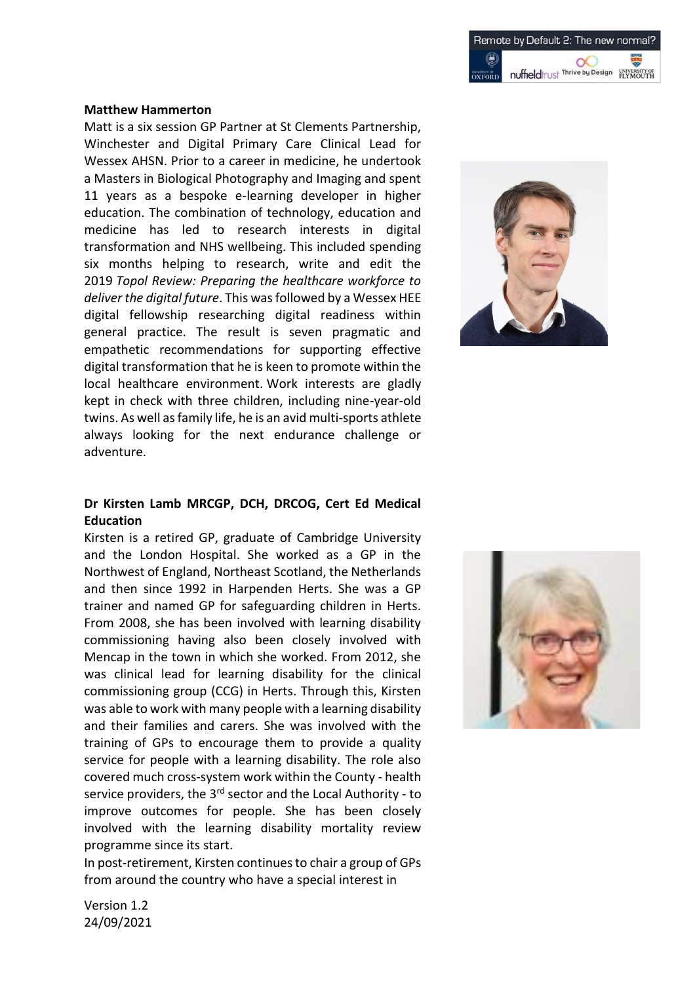#### **Matthew Hammerton**

Matt is a six session GP Partner at St Clements Partnership, Winchester and Digital Primary Care Clinical Lead for Wessex AHSN. Prior to a career in medicine, he undertook a Masters in Biological Photography and Imaging and spent 11 years as a bespoke e-learning developer in higher education. The combination of technology, education and medicine has led to research interests in digital transformation and NHS wellbeing. This included spending six months helping to research, write and edit the 2019 *Topol Review: Preparing the healthcare workforce to deliver the digital future*. This was followed by a Wessex HEE digital fellowship researching digital readiness within general practice. The result is seven pragmatic and empathetic recommendations for supporting effective digital transformation that he is keen to promote within the local healthcare environment. Work interests are gladly kept in check with three children, including nine-year-old twins. As well as family life, he is an avid multi-sports athlete always looking for the next endurance challenge or adventure.



## **Dr Kirsten Lamb MRCGP, DCH, DRCOG, Cert Ed Medical Education**

Kirsten is a retired GP, graduate of Cambridge University and the London Hospital. She worked as a GP in the Northwest of England, Northeast Scotland, the Netherlands and then since 1992 in Harpenden Herts. She was a GP trainer and named GP for safeguarding children in Herts. From 2008, she has been involved with learning disability commissioning having also been closely involved with Mencap in the town in which she worked. From 2012, she was clinical lead for learning disability for the clinical commissioning group (CCG) in Herts. Through this, Kirsten was able to work with many people with a learning disability and their families and carers. She was involved with the training of GPs to encourage them to provide a quality service for people with a learning disability. The role also covered much cross-system work within the County - health service providers, the 3<sup>rd</sup> sector and the Local Authority - to improve outcomes for people. She has been closely involved with the learning disability mortality review programme since its start.

In post-retirement, Kirsten continues to chair a group of GPs from around the country who have a special interest in



Version 1.2 24/09/2021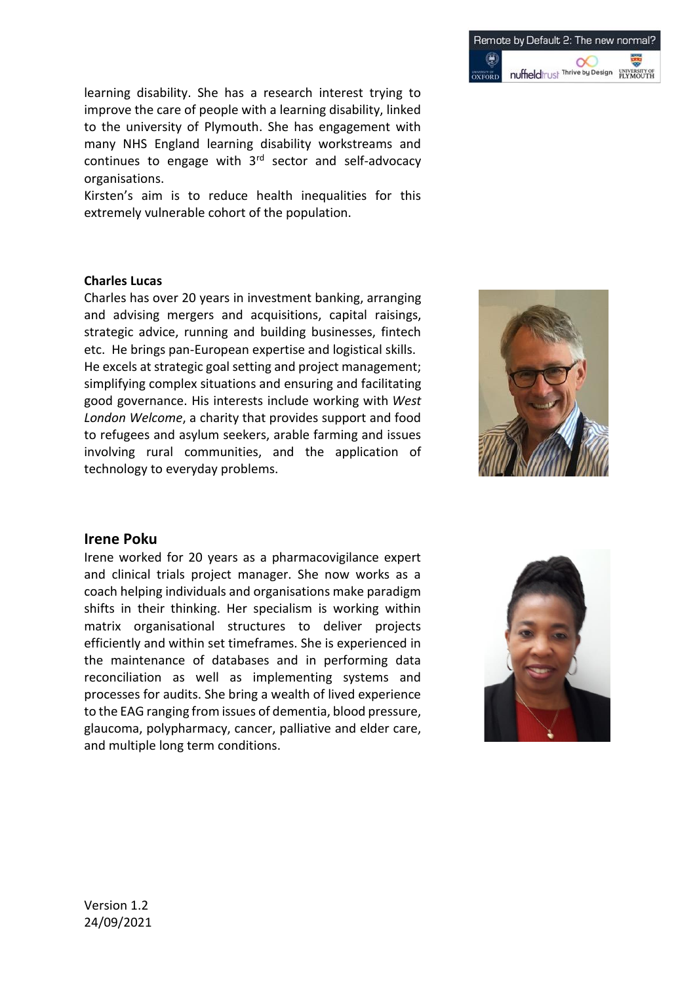

learning disability. She has a research interest trying to improve the care of people with a learning disability, linked to the university of Plymouth. She has engagement with many NHS England learning disability workstreams and continues to engage with  $3<sup>rd</sup>$  sector and self-advocacy organisations.

Kirsten's aim is to reduce health inequalities for this extremely vulnerable cohort of the population.

### **Charles Lucas**

Charles has over 20 years in investment banking, arranging and advising mergers and acquisitions, capital raisings, strategic advice, running and building businesses, fintech etc. He brings pan-European expertise and logistical skills. He excels at strategic goal setting and project management; simplifying complex situations and ensuring and facilitating good governance. His interests include working with *West London Welcome*, a charity that provides support and food to refugees and asylum seekers, arable farming and issues involving rural communities, and the application of technology to everyday problems.



### **Irene Poku**

Irene worked for 20 years as a pharmacovigilance expert and clinical trials project manager. She now works as a coach helping individuals and organisations make paradigm shifts in their thinking. Her specialism is working within matrix organisational structures to deliver projects efficiently and within set timeframes. She is experienced in the maintenance of databases and in performing data reconciliation as well as implementing systems and processes for audits. She bring a wealth of lived experience to the EAG ranging from issues of dementia, blood pressure, glaucoma, polypharmacy, cancer, palliative and elder care, and multiple long term conditions.

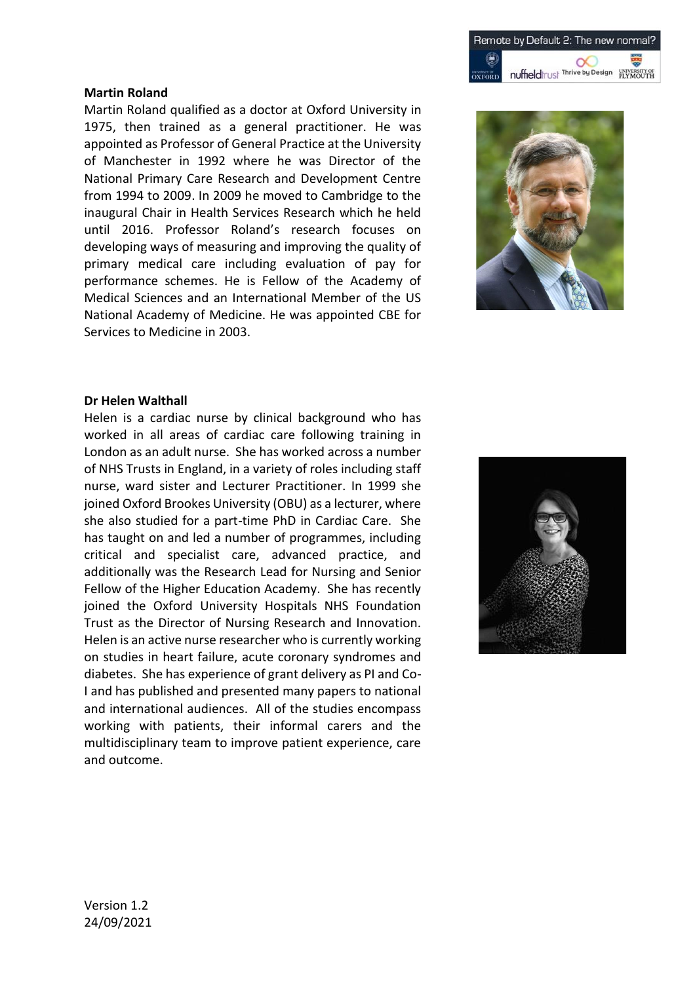

### **Martin Roland**

Martin Roland qualified as a doctor at Oxford University in 1975, then trained as a general practitioner. He was appointed as Professor of General Practice at the University of Manchester in 1992 where he was Director of the National Primary Care Research and Development Centre from 1994 to 2009. In 2009 he moved to Cambridge to the inaugural Chair in Health Services Research which he held until 2016. Professor Roland's research focuses on developing ways of measuring and improving the quality of primary medical care including evaluation of pay for performance schemes. He is Fellow of the Academy of Medical Sciences and an International Member of the US National Academy of Medicine. He was appointed CBE for Services to Medicine in 2003.



#### **Dr Helen Walthall**

Helen is a cardiac nurse by clinical background who has worked in all areas of cardiac care following training in London as an adult nurse. She has worked across a number of NHS Trusts in England, in a variety of roles including staff nurse, ward sister and Lecturer Practitioner. In 1999 she joined Oxford Brookes University (OBU) as a lecturer, where she also studied for a part-time PhD in Cardiac Care. She has taught on and led a number of programmes, including critical and specialist care, advanced practice, and additionally was the Research Lead for Nursing and Senior Fellow of the Higher Education Academy. She has recently joined the Oxford University Hospitals NHS Foundation Trust as the Director of Nursing Research and Innovation. Helen is an active nurse researcher who is currently working on studies in heart failure, acute coronary syndromes and diabetes. She has experience of grant delivery as PI and Co-I and has published and presented many papers to national and international audiences. All of the studies encompass working with patients, their informal carers and the multidisciplinary team to improve patient experience, care and outcome.